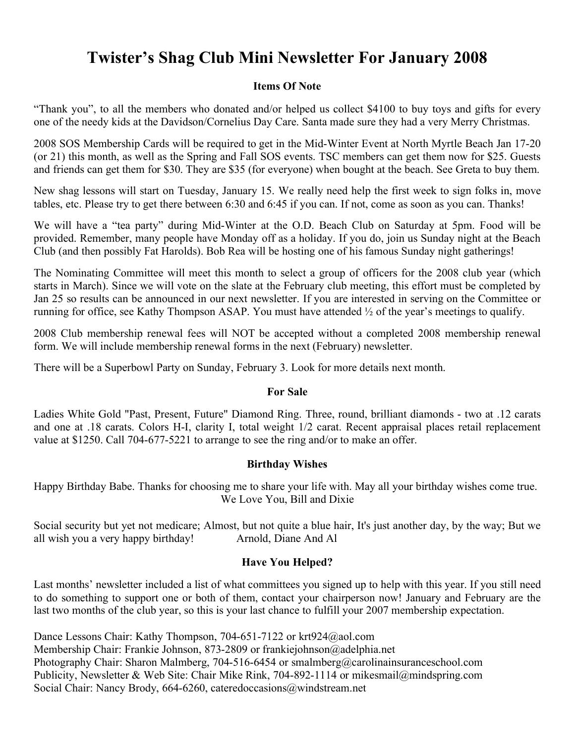# **Twister's Shag Club Mini Newsletter For January 2008**

## **Items Of Note**

"Thank you", to all the members who donated and/or helped us collect \$4100 to buy toys and gifts for every one of the needy kids at the Davidson/Cornelius Day Care. Santa made sure they had a very Merry Christmas.

2008 SOS Membership Cards will be required to get in the Mid-Winter Event at North Myrtle Beach Jan 17-20 (or 21) this month, as well as the Spring and Fall SOS events. TSC members can get them now for \$25. Guests and friends can get them for \$30. They are \$35 (for everyone) when bought at the beach. See Greta to buy them.

New shag lessons will start on Tuesday, January 15. We really need help the first week to sign folks in, move tables, etc. Please try to get there between 6:30 and 6:45 if you can. If not, come as soon as you can. Thanks!

We will have a "tea party" during Mid-Winter at the O.D. Beach Club on Saturday at 5pm. Food will be provided. Remember, many people have Monday off as a holiday. If you do, join us Sunday night at the Beach Club (and then possibly Fat Harolds). Bob Rea will be hosting one of his famous Sunday night gatherings!

The Nominating Committee will meet this month to select a group of officers for the 2008 club year (which starts in March). Since we will vote on the slate at the February club meeting, this effort must be completed by Jan 25 so results can be announced in our next newsletter. If you are interested in serving on the Committee or running for office, see Kathy Thompson ASAP. You must have attended  $\frac{1}{2}$  of the year's meetings to qualify.

2008 Club membership renewal fees will NOT be accepted without a completed 2008 membership renewal form. We will include membership renewal forms in the next (February) newsletter.

There will be a Superbowl Party on Sunday, February 3. Look for more details next month.

# **For Sale**

Ladies White Gold "Past, Present, Future" Diamond Ring. Three, round, brilliant diamonds - two at .12 carats and one at .18 carats. Colors H-I, clarity I, total weight 1/2 carat. Recent appraisal places retail replacement value at \$1250. Call 704-677-5221 to arrange to see the ring and/or to make an offer.

# **Birthday Wishes**

Happy Birthday Babe. Thanks for choosing me to share your life with. May all your birthday wishes come true. We Love You, Bill and Dixie

Social security but yet not medicare; Almost, but not quite a blue hair, It's just another day, by the way; But we all wish you a very happy birthday! Arnold, Diane And Al

# **Have You Helped?**

Last months' newsletter included a list of what committees you signed up to help with this year. If you still need to do something to support one or both of them, contact your chairperson now! January and February are the last two months of the club year, so this is your last chance to fulfill your 2007 membership expectation.

Dance Lessons Chair: Kathy Thompson, 704-651-7122 or krt924@aol.com Membership Chair: Frankie Johnson, 873-2809 or frankiejohnson@adelphia.net Photography Chair: Sharon Malmberg, 704-516-6454 or smalmberg@carolinainsuranceschool.com Publicity, Newsletter & Web Site: Chair Mike Rink, 704-892-1114 or mikesmail@mindspring.com Social Chair: Nancy Brody, 664-6260, cateredoccasions@windstream.net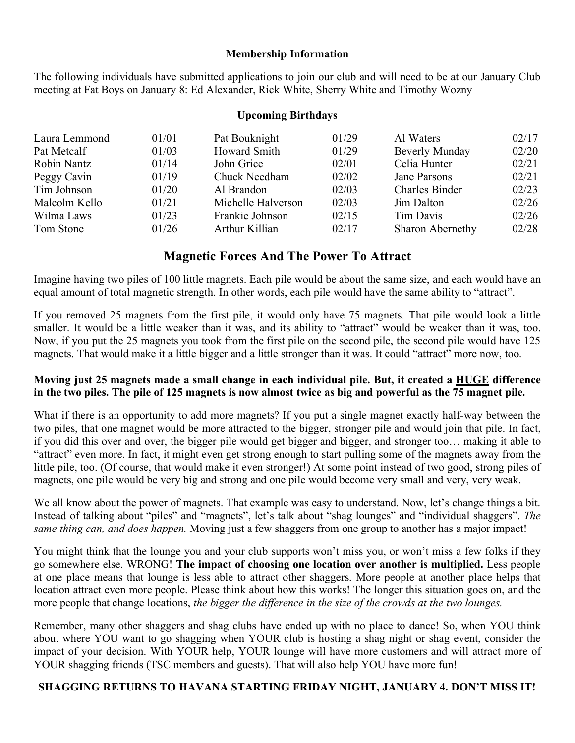#### **Membership Information**

The following individuals have submitted applications to join our club and will need to be at our January Club meeting at Fat Boys on January 8: Ed Alexander, Rick White, Sherry White and Timothy Wozny

#### **Upcoming Birthdays**

| Laura Lemmond | 01/01 | Pat Bouknight      | 01/29 | Al Waters             | 02/17 |
|---------------|-------|--------------------|-------|-----------------------|-------|
| Pat Metcalf   | 01/03 | Howard Smith       | 01/29 | Beverly Munday        | 02/20 |
| Robin Nantz   | 01/14 | John Grice         | 02/01 | Celia Hunter          | 02/21 |
| Peggy Cavin   | 01/19 | Chuck Needham      | 02/02 | Jane Parsons          | 02/21 |
| Tim Johnson   | 01/20 | Al Brandon         | 02/03 | <b>Charles Binder</b> | 02/23 |
| Malcolm Kello | 01/21 | Michelle Halverson | 02/03 | Jim Dalton            | 02/26 |
| Wilma Laws    | 01/23 | Frankie Johnson    | 02/15 | Tim Davis             | 02/26 |
| Tom Stone     | 01/26 | Arthur Killian     | 02/17 | Sharon Abernethy      | 02/28 |

# **Magnetic Forces And The Power To Attract**

Imagine having two piles of 100 little magnets. Each pile would be about the same size, and each would have an equal amount of total magnetic strength. In other words, each pile would have the same ability to "attract".

If you removed 25 magnets from the first pile, it would only have 75 magnets. That pile would look a little smaller. It would be a little weaker than it was, and its ability to "attract" would be weaker than it was, too. Now, if you put the 25 magnets you took from the first pile on the second pile, the second pile would have 125 magnets. That would make it a little bigger and a little stronger than it was. It could "attract" more now, too.

### **Moving just 25 magnets made a small change in each individual pile. But, it created a HUGE difference in the two piles. The pile of 125 magnets is now almost twice as big and powerful as the 75 magnet pile.**

What if there is an opportunity to add more magnets? If you put a single magnet exactly half-way between the two piles, that one magnet would be more attracted to the bigger, stronger pile and would join that pile. In fact, if you did this over and over, the bigger pile would get bigger and bigger, and stronger too… making it able to "attract" even more. In fact, it might even get strong enough to start pulling some of the magnets away from the little pile, too. (Of course, that would make it even stronger!) At some point instead of two good, strong piles of magnets, one pile would be very big and strong and one pile would become very small and very, very weak.

We all know about the power of magnets. That example was easy to understand. Now, let's change things a bit. Instead of talking about "piles" and "magnets", let's talk about "shag lounges" and "individual shaggers". *The same thing can, and does happen.* Moving just a few shaggers from one group to another has a major impact!

You might think that the lounge you and your club supports won't miss you, or won't miss a few folks if they go somewhere else. WRONG! **The impact of choosing one location over another is multiplied.** Less people at one place means that lounge is less able to attract other shaggers. More people at another place helps that location attract even more people. Please think about how this works! The longer this situation goes on, and the more people that change locations, *the bigger the difference in the size of the crowds at the two lounges.*

Remember, many other shaggers and shag clubs have ended up with no place to dance! So, when YOU think about where YOU want to go shagging when YOUR club is hosting a shag night or shag event, consider the impact of your decision. With YOUR help, YOUR lounge will have more customers and will attract more of YOUR shagging friends (TSC members and guests). That will also help YOU have more fun!

#### **SHAGGING RETURNS TO HAVANA STARTING FRIDAY NIGHT, JANUARY 4. DON'T MISS IT!**